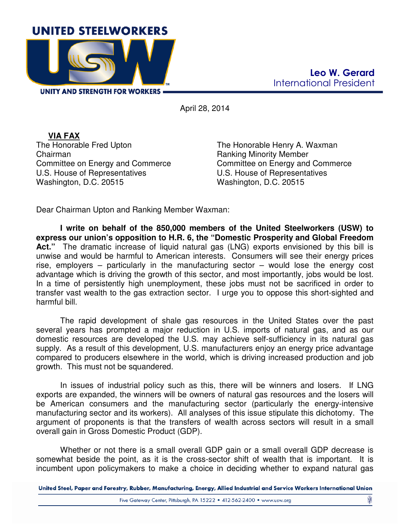

April 28, 2014

**VIA FAX**  The Honorable Fred Upton Chairman Committee on Energy and Commerce U.S. House of Representatives Washington, D.C. 20515

The Honorable Henry A. Waxman Ranking Minority Member Committee on Energy and Commerce U.S. House of Representatives Washington, D.C. 20515

Dear Chairman Upton and Ranking Member Waxman:

**I write on behalf of the 850,000 members of the United Steelworkers (USW) to express our union's opposition to H.R. 6, the "Domestic Prosperity and Global Freedom**  Act." The dramatic increase of liquid natural gas (LNG) exports envisioned by this bill is unwise and would be harmful to American interests. Consumers will see their energy prices rise, employers – particularly in the manufacturing sector – would lose the energy cost advantage which is driving the growth of this sector, and most importantly, jobs would be lost. In a time of persistently high unemployment, these jobs must not be sacrificed in order to transfer vast wealth to the gas extraction sector. I urge you to oppose this short-sighted and harmful bill.

The rapid development of shale gas resources in the United States over the past several years has prompted a major reduction in U.S. imports of natural gas, and as our domestic resources are developed the U.S. may achieve self-sufficiency in its natural gas supply. As a result of this development, U.S. manufacturers enjoy an energy price advantage compared to producers elsewhere in the world, which is driving increased production and job growth. This must not be squandered.

In issues of industrial policy such as this, there will be winners and losers. If LNG exports are expanded, the winners will be owners of natural gas resources and the losers will be American consumers and the manufacturing sector (particularly the energy-intensive manufacturing sector and its workers). All analyses of this issue stipulate this dichotomy. The argument of proponents is that the transfers of wealth across sectors will result in a small overall gain in Gross Domestic Product (GDP).

Whether or not there is a small overall GDP gain or a small overall GDP decrease is somewhat beside the point, as it is the cross-sector shift of wealth that is important. It is incumbent upon policymakers to make a choice in deciding whether to expand natural gas

United Steel, Paper and Forestry, Rubber, Manufacturing, Energy, Allied Industrial and Service Workers International Union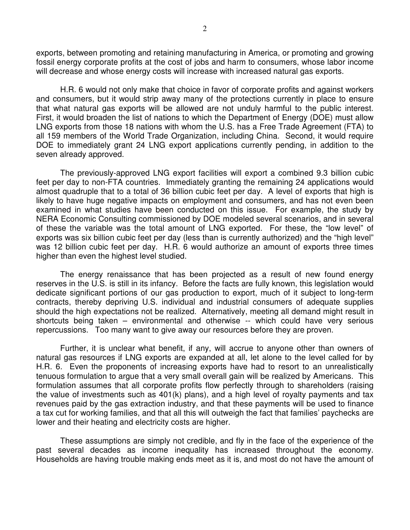exports, between promoting and retaining manufacturing in America, or promoting and growing fossil energy corporate profits at the cost of jobs and harm to consumers, whose labor income will decrease and whose energy costs will increase with increased natural gas exports.

H.R. 6 would not only make that choice in favor of corporate profits and against workers and consumers, but it would strip away many of the protections currently in place to ensure that what natural gas exports will be allowed are not unduly harmful to the public interest. First, it would broaden the list of nations to which the Department of Energy (DOE) must allow LNG exports from those 18 nations with whom the U.S. has a Free Trade Agreement (FTA) to all 159 members of the World Trade Organization, including China. Second, it would require DOE to immediately grant 24 LNG export applications currently pending, in addition to the seven already approved.

The previously-approved LNG export facilities will export a combined 9.3 billion cubic feet per day to non-FTA countries. Immediately granting the remaining 24 applications would almost quadruple that to a total of 36 billion cubic feet per day. A level of exports that high is likely to have huge negative impacts on employment and consumers, and has not even been examined in what studies have been conducted on this issue. For example, the study by NERA Economic Consulting commissioned by DOE modeled several scenarios, and in several of these the variable was the total amount of LNG exported. For these, the "low level" of exports was six billion cubic feet per day (less than is currently authorized) and the "high level" was 12 billion cubic feet per day. H.R. 6 would authorize an amount of exports three times higher than even the highest level studied.

The energy renaissance that has been projected as a result of new found energy reserves in the U.S. is still in its infancy. Before the facts are fully known, this legislation would dedicate significant portions of our gas production to export, much of it subject to long-term contracts, thereby depriving U.S. individual and industrial consumers of adequate supplies should the high expectations not be realized. Alternatively, meeting all demand might result in shortcuts being taken – environmental and otherwise -- which could have very serious repercussions. Too many want to give away our resources before they are proven.

Further, it is unclear what benefit, if any, will accrue to anyone other than owners of natural gas resources if LNG exports are expanded at all, let alone to the level called for by H.R. 6. Even the proponents of increasing exports have had to resort to an unrealistically tenuous formulation to argue that a very small overall gain will be realized by Americans. This formulation assumes that all corporate profits flow perfectly through to shareholders (raising the value of investments such as 401(k) plans), and a high level of royalty payments and tax revenues paid by the gas extraction industry, and that these payments will be used to finance a tax cut for working families, and that all this will outweigh the fact that families' paychecks are lower and their heating and electricity costs are higher.

These assumptions are simply not credible, and fly in the face of the experience of the past several decades as income inequality has increased throughout the economy. Households are having trouble making ends meet as it is, and most do not have the amount of